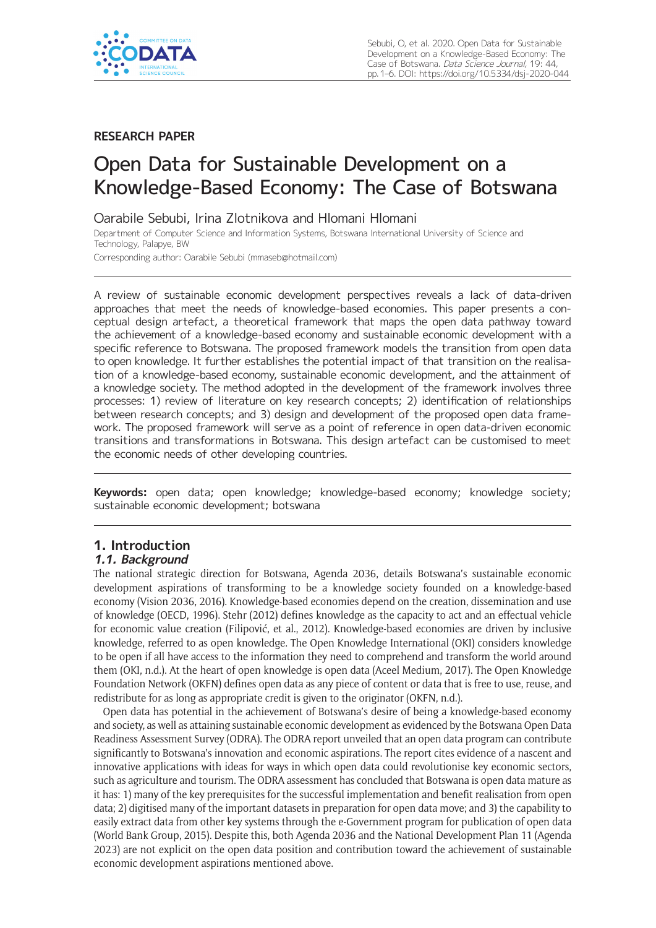

# **RESEARCH PAPER**

# Open Data for Sustainable Development on a Knowledge-Based Economy: The Case of Botswana

Oarabile Sebubi, Irina Zlotnikova and Hlomani Hlomani

Department of Computer Science and Information Systems, Botswana International University of Science and Technology, Palapye, BW

Corresponding author: Oarabile Sebubi [\(mmaseb@hotmail.com](mailto:mmaseb@hotmail.com))

A review of sustainable economic development perspectives reveals a lack of data-driven approaches that meet the needs of knowledge-based economies. This paper presents a conceptual design artefact, a theoretical framework that maps the open data pathway toward the achievement of a knowledge-based economy and sustainable economic development with a specific reference to Botswana. The proposed framework models the transition from open data to open knowledge. It further establishes the potential impact of that transition on the realisation of a knowledge-based economy, sustainable economic development, and the attainment of a knowledge society. The method adopted in the development of the framework involves three processes: 1) review of literature on key research concepts; 2) identification of relationships between research concepts; and 3) design and development of the proposed open data framework. The proposed framework will serve as a point of reference in open data-driven economic transitions and transformations in Botswana. This design artefact can be customised to meet the economic needs of other developing countries.

**Keywords:** open data; open knowledge; knowledge-based economy; knowledge society; sustainable economic development; botswana

### **1. Introduction 1.1. Background**

The national strategic direction for Botswana, Agenda 2036, details Botswana's sustainable economic development aspirations of transforming to be a knowledge society founded on a knowledge-based economy (Vision 2036, 2016). Knowledge-based economies depend on the creation, dissemination and use of knowledge (OECD, 1996). Stehr (2012) defines knowledge as the capacity to act and an effectual vehicle for economic value creation (Filipović, et al., 2012). Knowledge-based economies are driven by inclusive knowledge, referred to as open knowledge. The Open Knowledge International (OKI) considers knowledge to be open if all have access to the information they need to comprehend and transform the world around them (OKI, n.d.). At the heart of open knowledge is open data (Aceel Medium, 2017). The Open Knowledge Foundation Network (OKFN) defines open data as any piece of content or data that is free to use, reuse, and redistribute for as long as appropriate credit is given to the originator (OKFN, n.d.).

Open data has potential in the achievement of Botswana's desire of being a knowledge-based economy and society, as well as attaining sustainable economic development as evidenced by the Botswana Open Data Readiness Assessment Survey (ODRA). The ODRA report unveiled that an open data program can contribute significantly to Botswana's innovation and economic aspirations. The report cites evidence of a nascent and innovative applications with ideas for ways in which open data could revolutionise key economic sectors, such as agriculture and tourism. The ODRA assessment has concluded that Botswana is open data mature as it has: 1) many of the key prerequisites for the successful implementation and benefit realisation from open data; 2) digitised many of the important datasets in preparation for open data move; and 3) the capability to easily extract data from other key systems through the e-Government program for publication of open data (World Bank Group, 2015). Despite this, both Agenda 2036 and the National Development Plan 11 (Agenda 2023) are not explicit on the open data position and contribution toward the achievement of sustainable economic development aspirations mentioned above.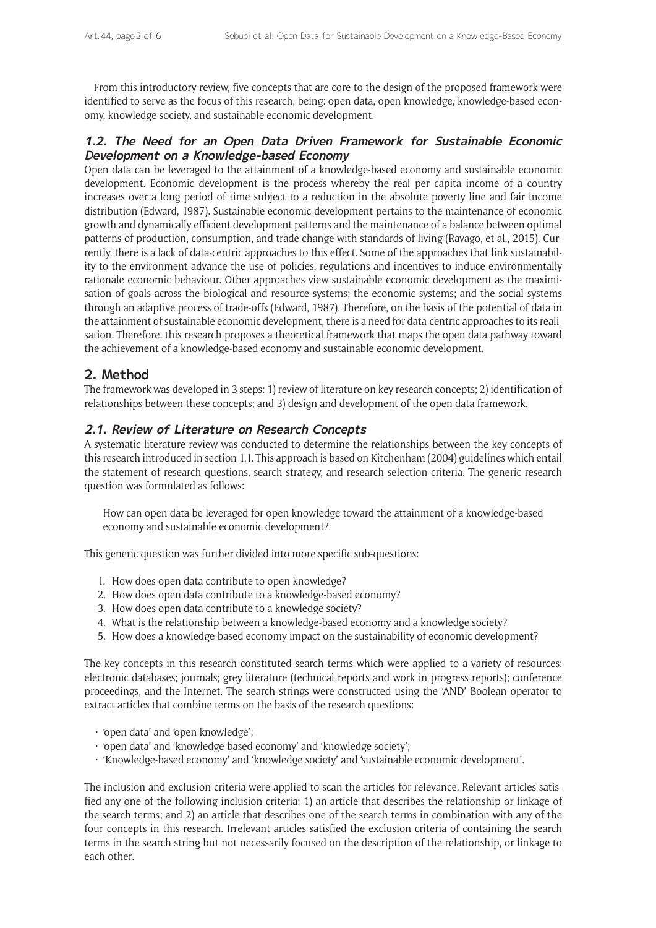From this introductory review, five concepts that are core to the design of the proposed framework were identified to serve as the focus of this research, being: open data, open knowledge, knowledge-based economy, knowledge society, and sustainable economic development.

# **1.2. The Need for an Open Data Driven Framework for Sustainable Economic Development on a Knowledge-based Economy**

Open data can be leveraged to the attainment of a knowledge-based economy and sustainable economic development. Economic development is the process whereby the real per capita income of a country increases over a long period of time subject to a reduction in the absolute poverty line and fair income distribution (Edward, 1987). Sustainable economic development pertains to the maintenance of economic growth and dynamically efficient development patterns and the maintenance of a balance between optimal patterns of production, consumption, and trade change with standards of living (Ravago, et al., 2015). Currently, there is a lack of data-centric approaches to this effect. Some of the approaches that link sustainability to the environment advance the use of policies, regulations and incentives to induce environmentally rationale economic behaviour. Other approaches view sustainable economic development as the maximisation of goals across the biological and resource systems; the economic systems; and the social systems through an adaptive process of trade-offs (Edward, 1987). Therefore, on the basis of the potential of data in the attainment of sustainable economic development, there is a need for data-centric approaches to its realisation. Therefore, this research proposes a theoretical framework that maps the open data pathway toward the achievement of a knowledge-based economy and sustainable economic development.

# **2. Method**

The framework was developed in 3 steps: 1) review of literature on key research concepts; 2) identification of relationships between these concepts; and 3) design and development of the open data framework.

# **2.1. Review of Literature on Research Concepts**

A systematic literature review was conducted to determine the relationships between the key concepts of this research introduced in section 1.1. This approach is based on Kitchenham (2004) guidelines which entail the statement of research questions, search strategy, and research selection criteria. The generic research question was formulated as follows:

How can open data be leveraged for open knowledge toward the attainment of a knowledge-based economy and sustainable economic development?

This generic question was further divided into more specific sub-questions:

- 1. How does open data contribute to open knowledge?
- 2. How does open data contribute to a knowledge-based economy?
- 3. How does open data contribute to a knowledge society?
- 4. What is the relationship between a knowledge-based economy and a knowledge society?
- 5. How does a knowledge-based economy impact on the sustainability of economic development?

The key concepts in this research constituted search terms which were applied to a variety of resources: electronic databases; journals; grey literature (technical reports and work in progress reports); conference proceedings, and the Internet. The search strings were constructed using the 'AND' Boolean operator to extract articles that combine terms on the basis of the research questions:

- • 'open data' and 'open knowledge';
- • 'open data' and 'knowledge-based economy' and 'knowledge society';
- • 'Knowledge-based economy' and 'knowledge society' and 'sustainable economic development'.

The inclusion and exclusion criteria were applied to scan the articles for relevance. Relevant articles satisfied any one of the following inclusion criteria: 1) an article that describes the relationship or linkage of the search terms; and 2) an article that describes one of the search terms in combination with any of the four concepts in this research. Irrelevant articles satisfied the exclusion criteria of containing the search terms in the search string but not necessarily focused on the description of the relationship, or linkage to each other.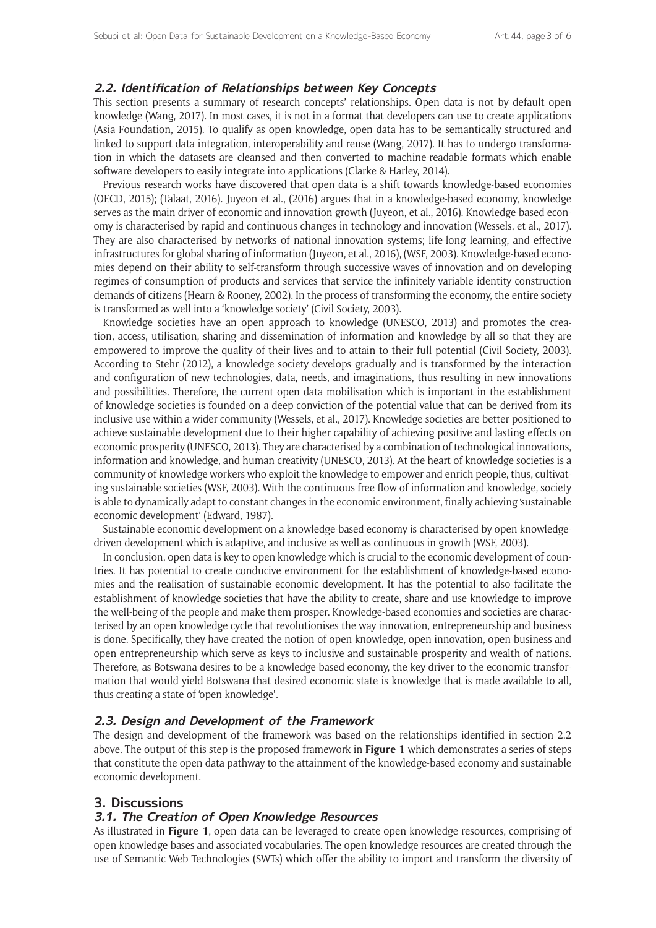#### **2.2. Identification of Relationships between Key Concepts**

This section presents a summary of research concepts' relationships. Open data is not by default open knowledge (Wang, 2017). In most cases, it is not in a format that developers can use to create applications (Asia Foundation, 2015). To qualify as open knowledge, open data has to be semantically structured and linked to support data integration, interoperability and reuse (Wang, 2017). It has to undergo transformation in which the datasets are cleansed and then converted to machine-readable formats which enable software developers to easily integrate into applications (Clarke & Harley, 2014).

Previous research works have discovered that open data is a shift towards knowledge-based economies (OECD, 2015); (Talaat, 2016). Juyeon et al., (2016) argues that in a knowledge-based economy, knowledge serves as the main driver of economic and innovation growth (Juyeon, et al., 2016). Knowledge-based economy is characterised by rapid and continuous changes in technology and innovation (Wessels, et al., 2017). They are also characterised by networks of national innovation systems; life-long learning, and effective infrastructures for global sharing of information (Juyeon, et al., 2016), (WSF, 2003). Knowledge-based economies depend on their ability to self-transform through successive waves of innovation and on developing regimes of consumption of products and services that service the infinitely variable identity construction demands of citizens (Hearn & Rooney, 2002). In the process of transforming the economy, the entire society is transformed as well into a 'knowledge society' (Civil Society, 2003).

Knowledge societies have an open approach to knowledge (UNESCO, 2013) and promotes the creation, access, utilisation, sharing and dissemination of information and knowledge by all so that they are empowered to improve the quality of their lives and to attain to their full potential (Civil Society, 2003). According to Stehr (2012), a knowledge society develops gradually and is transformed by the interaction and configuration of new technologies, data, needs, and imaginations, thus resulting in new innovations and possibilities. Therefore, the current open data mobilisation which is important in the establishment of knowledge societies is founded on a deep conviction of the potential value that can be derived from its inclusive use within a wider community (Wessels, et al., 2017). Knowledge societies are better positioned to achieve sustainable development due to their higher capability of achieving positive and lasting effects on economic prosperity (UNESCO, 2013). They are characterised by a combination of technological innovations, information and knowledge, and human creativity (UNESCO, 2013). At the heart of knowledge societies is a community of knowledge workers who exploit the knowledge to empower and enrich people, thus, cultivating sustainable societies (WSF, 2003). With the continuous free flow of information and knowledge, society is able to dynamically adapt to constant changes in the economic environment, finally achieving 'sustainable economic development' (Edward, 1987).

Sustainable economic development on a knowledge-based economy is characterised by open knowledgedriven development which is adaptive, and inclusive as well as continuous in growth (WSF, 2003).

In conclusion, open data is key to open knowledge which is crucial to the economic development of countries. It has potential to create conducive environment for the establishment of knowledge-based economies and the realisation of sustainable economic development. It has the potential to also facilitate the establishment of knowledge societies that have the ability to create, share and use knowledge to improve the well-being of the people and make them prosper. Knowledge-based economies and societies are characterised by an open knowledge cycle that revolutionises the way innovation, entrepreneurship and business is done. Specifically, they have created the notion of open knowledge, open innovation, open business and open entrepreneurship which serve as keys to inclusive and sustainable prosperity and wealth of nations. Therefore, as Botswana desires to be a knowledge-based economy, the key driver to the economic transformation that would yield Botswana that desired economic state is knowledge that is made available to all, thus creating a state of 'open knowledge'.

#### **2.3. Design and Development of the Framework**

The design and development of the framework was based on the relationships identified in section 2.2 above. The output of this step is the proposed framework in **Figure 1** which demonstrates a series of steps that constitute the open data pathway to the attainment of the knowledge-based economy and sustainable economic development.

#### **3. Discussions**

#### **3.1. The Creation of Open Knowledge Resources**

As illustrated in **Figure 1**, open data can be leveraged to create open knowledge resources, comprising of open knowledge bases and associated vocabularies. The open knowledge resources are created through the use of Semantic Web Technologies (SWTs) which offer the ability to import and transform the diversity of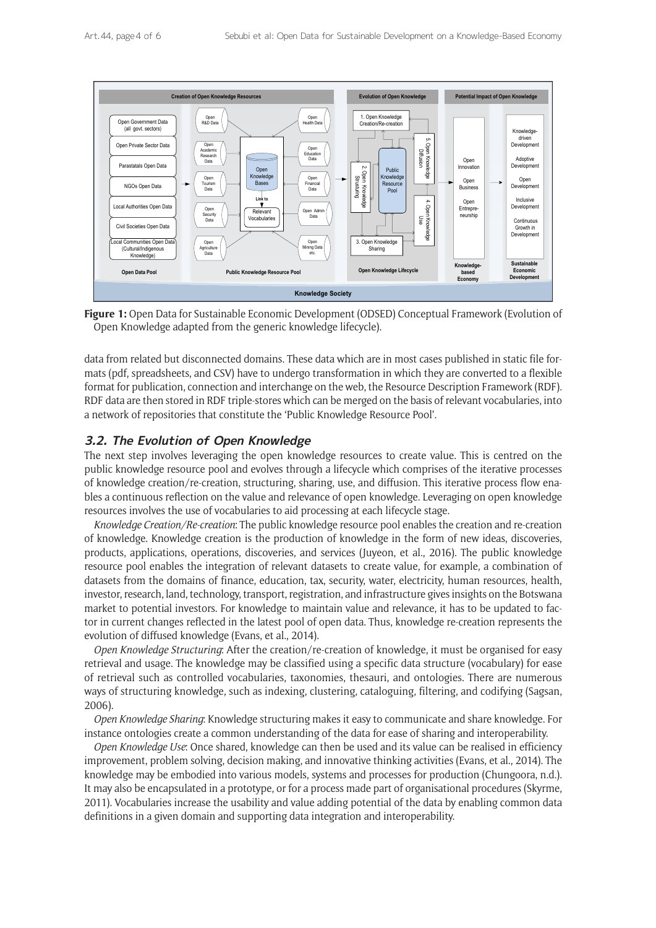

**Figure 1:** Open Data for Sustainable Economic Development (ODSED) Conceptual Framework (Evolution of Open Knowledge adapted from the generic knowledge lifecycle).

data from related but disconnected domains. These data which are in most cases published in static file formats (pdf, spreadsheets, and CSV) have to undergo transformation in which they are converted to a flexible format for publication, connection and interchange on the web, the Resource Description Framework (RDF). RDF data are then stored in RDF triple-stores which can be merged on the basis of relevant vocabularies, into a network of repositories that constitute the 'Public Knowledge Resource Pool'.

## **3.2. The Evolution of Open Knowledge**

The next step involves leveraging the open knowledge resources to create value. This is centred on the public knowledge resource pool and evolves through a lifecycle which comprises of the iterative processes of knowledge creation/re-creation, structuring, sharing, use, and diffusion. This iterative process flow enables a continuous reflection on the value and relevance of open knowledge. Leveraging on open knowledge resources involves the use of vocabularies to aid processing at each lifecycle stage.

*Knowledge Creation/Re-creation*: The public knowledge resource pool enables the creation and re-creation of knowledge. Knowledge creation is the production of knowledge in the form of new ideas, discoveries, products, applications, operations, discoveries, and services (Juyeon, et al., 2016). The public knowledge resource pool enables the integration of relevant datasets to create value, for example, a combination of datasets from the domains of finance, education, tax, security, water, electricity, human resources, health, investor, research, land, technology, transport, registration, and infrastructure gives insights on the Botswana market to potential investors. For knowledge to maintain value and relevance, it has to be updated to factor in current changes reflected in the latest pool of open data. Thus, knowledge re-creation represents the evolution of diffused knowledge (Evans, et al., 2014).

*Open Knowledge Structuring*: After the creation/re-creation of knowledge, it must be organised for easy retrieval and usage. The knowledge may be classified using a specific data structure (vocabulary) for ease of retrieval such as controlled vocabularies, taxonomies, thesauri, and ontologies. There are numerous ways of structuring knowledge, such as indexing, clustering, cataloguing, filtering, and codifying (Sagsan, 2006).

*Open Knowledge Sharing*: Knowledge structuring makes it easy to communicate and share knowledge. For instance ontologies create a common understanding of the data for ease of sharing and interoperability.

*Open Knowledge Use*: Once shared, knowledge can then be used and its value can be realised in efficiency improvement, problem solving, decision making, and innovative thinking activities (Evans, et al., 2014). The knowledge may be embodied into various models, systems and processes for production (Chungoora, n.d.). It may also be encapsulated in a prototype, or for a process made part of organisational procedures (Skyrme, 2011). Vocabularies increase the usability and value adding potential of the data by enabling common data definitions in a given domain and supporting data integration and interoperability.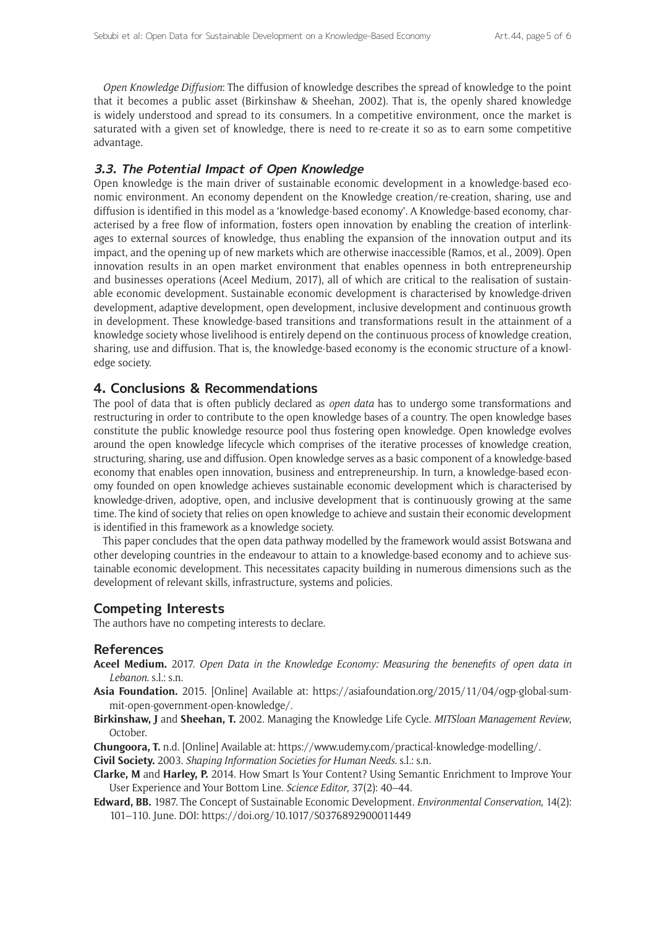*Open Knowledge Diffusion*: The diffusion of knowledge describes the spread of knowledge to the point that it becomes a public asset (Birkinshaw & Sheehan, 2002). That is, the openly shared knowledge is widely understood and spread to its consumers. In a competitive environment, once the market is saturated with a given set of knowledge, there is need to re-create it so as to earn some competitive advantage.

#### **3.3. The Potential Impact of Open Knowledge**

Open knowledge is the main driver of sustainable economic development in a knowledge-based economic environment. An economy dependent on the Knowledge creation/re-creation, sharing, use and diffusion is identified in this model as a 'knowledge-based economy'. A Knowledge-based economy, characterised by a free flow of information, fosters open innovation by enabling the creation of interlinkages to external sources of knowledge, thus enabling the expansion of the innovation output and its impact, and the opening up of new markets which are otherwise inaccessible (Ramos, et al., 2009). Open innovation results in an open market environment that enables openness in both entrepreneurship and businesses operations (Aceel Medium, 2017), all of which are critical to the realisation of sustainable economic development. Sustainable economic development is characterised by knowledge-driven development, adaptive development, open development, inclusive development and continuous growth in development. These knowledge-based transitions and transformations result in the attainment of a knowledge society whose livelihood is entirely depend on the continuous process of knowledge creation, sharing, use and diffusion. That is, the knowledge-based economy is the economic structure of a knowledge society.

#### **4. Conclusions & Recommendations**

The pool of data that is often publicly declared as *open data* has to undergo some transformations and restructuring in order to contribute to the open knowledge bases of a country. The open knowledge bases constitute the public knowledge resource pool thus fostering open knowledge. Open knowledge evolves around the open knowledge lifecycle which comprises of the iterative processes of knowledge creation, structuring, sharing, use and diffusion. Open knowledge serves as a basic component of a knowledge-based economy that enables open innovation, business and entrepreneurship. In turn, a knowledge-based economy founded on open knowledge achieves sustainable economic development which is characterised by knowledge-driven, adoptive, open, and inclusive development that is continuously growing at the same time. The kind of society that relies on open knowledge to achieve and sustain their economic development is identified in this framework as a knowledge society.

This paper concludes that the open data pathway modelled by the framework would assist Botswana and other developing countries in the endeavour to attain to a knowledge-based economy and to achieve sustainable economic development. This necessitates capacity building in numerous dimensions such as the development of relevant skills, infrastructure, systems and policies.

### **Competing Interests**

The authors have no competing interests to declare.

#### **References**

- **Aceel Medium.** 2017. *Open Data in the Knowledge Economy: Measuring the benenefits of open data in Lebanon*. s.l.: s.n.
- **Asia Foundation.** 2015. [Online] Available at: [https://asiafoundation.org/2015/11/04/ogp-global-sum](https://asiafoundation.org/2015/11/04/ogp-global-summit-open-government-open-knowledge/)[mit-open-government-open-knowledge/.](https://asiafoundation.org/2015/11/04/ogp-global-summit-open-government-open-knowledge/)
- **Birkinshaw, J** and **Sheehan, T.** 2002. Managing the Knowledge Life Cycle. *MITSloan Management Review*, October.
- **Chungoora, T.** n.d. [Online] Available at: [https://www.udemy.com/practical-knowledge-modelling/.](https://www.udemy.com/practical-knowledge-modelling/)
- **Civil Society.** 2003. *Shaping Information Societies for Human Needs*. s.l.: s.n.
- **Clarke, M** and **Harley, P.** 2014. How Smart Is Your Content? Using Semantic Enrichment to Improve Your User Experience and Your Bottom Line. *Science Editor*, 37(2): 40–44.
- **Edward, BB.** 1987. The Concept of Sustainable Economic Development. *Environmental Conservation*, 14(2): 101–110. June. DOI: <https://doi.org/10.1017/S0376892900011449>